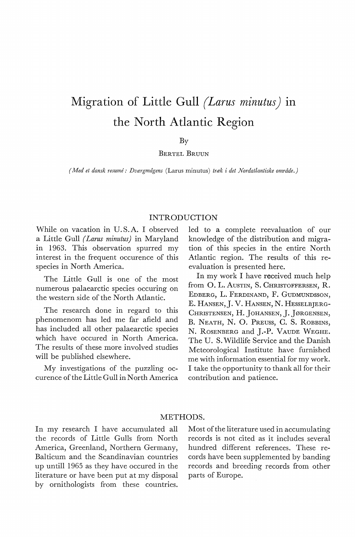# **Migration of Little Gull** *(Larus minutus)* **1n the North Atlantic Region**

By

BERTEL BRUUN

*(Med et dansk resume: Dværgmågens* (Larus minutus) *træk i det Nordatlantiske område.)* 

## INTRODUCTION

While on vacation in U.S.A. I observed a Little Gull *(Larus minutus)* in Maryland in 1963. This observation spurred my interest in the frequent occurence of this species in North America.

The Little Gull is one of the most numerous palaearctic species occuring on the western side of the North Atlantic.

The research done in regard to this phenomenom has led me far afield and has included all other palaearctic species which have occured in North America. The results of these more involved studies will be published elsewhere.

My investigations of the puzzling occurence of the Little Gull in North America led to a complete reevaluation of our knowledge of the distribution and migration of this species in the entire North Atlantic region. The results of this reevaluation is presented here.

In my work I have received much help from O. L. Austin, S. CHRISTOFFERSEN, R. EDBERG, **L.** FERDINAND, F. GuDMUNDssoN, E. HANSEN,]. V. HANSEN, N. HESSELBJERG-CHRISTENSEN, H. JOHANSEN, **J.** JØRGENSEN, B. NEATH, N. O. PREUSS, C. S. ROBBINS, N. RosENBERG and J.-P. VAUDE WEGHE. The U. S. Wildlife Service and the Danish Meteorological Institute have furnished me with information essential for my work. I take the opportunity to thank all for their contribution and patience.

# METHODS.

In my research I have accumulated all the records of Little Gulls from North America, Greenland, Northern Germany, Balticum and the Scandinavian countries up untill 1965 as they have occured in the literature or have been put at my disposal by ornithologists from these countries.

Most of the literature used in accumulating records is not cited as it includes several hundred different references. These records have been supplemented by banding records and breeding records from other parts of Europe.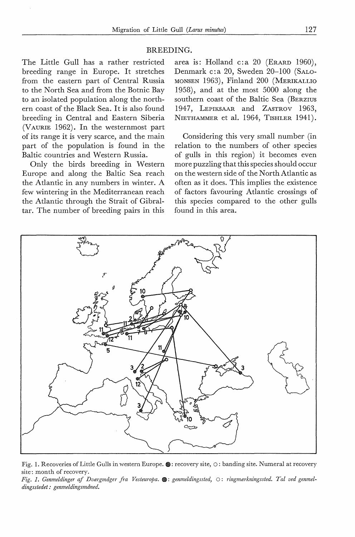#### BREEDING.

The Little Gull has a rather restricted breeding range in Europe. It stretches from the eastern part of Central Russia to the North Sea and from the Botnic Bay to an isolated population along the northern coast of the Black Sea. It is also found breeding in Central and Eastern Siberia (VAURIE 1962). In the westernmost part of its range it is very scarce, and the main part of the population is found in the Baltic countries and Western Russia.

Only the hirds breeding in Western Europe and along the Baltic Sea reach the Atlantic in any numbers in winter. A few wintering in the Mediterranean reach the Atlantic through the Strait of Gibraltar. The number of breeding pairs in this

area is: Holland c: a  $20$  (ERARD 1960), Denmark c:a 20, Sweden 20-100 (SALO-MONSEN 1963), Finland 200 (MERIKALLIO 1958), and at the most 5000 along the southern coast of the Baltic Sea (BERZIUS 1947, LEPIKSAAR and ZASTROV 1963, NIETHAMMER et al. 1964, TISHLER 1941).

Considering this very small number (in relation to the numbers of other species of gulls in this region) it becomes even more puzzling that this species should occur on the western side of the North Atlantic as often as it does. This implies the existence of factors favouring Atlantic crossings of this species compared to the other gulls found in this area.



Fig. 1. Recoveries of Little Gulls in western Europe.  $\bullet$ : recovery site,  $\circ$ : banding site. Numeral at recovery site: month of recovery.

*Fig. I. Genmeldinger af Dværgmåger fra Vesteuropa.* •: *genmeldingssted,* 0 : *ringmærkningssted. Tal ved genmeldingsstedet: genmeldingsmåned.*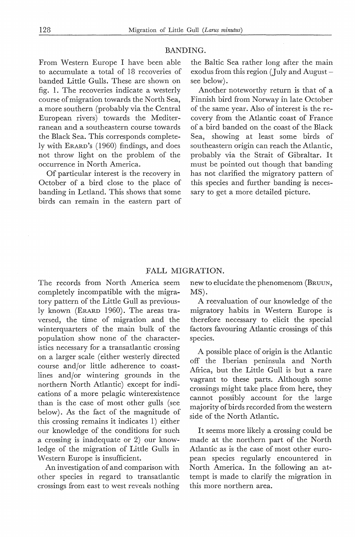#### BANDING.

From Western Europe I have been able to accumulate a total of 18 recoveries of banded Little Gulls. These are shown on fig. 1. The recoveries indicate a westerly course of migration towards the North Sea, amore southern (probably via the Central European rivers) towards the Mediterranean and a southeastern course towards the Black Sea. This corresponds completely with ERARD's ( 1960) findings, and does not throw light on the problem of the occurrence in North America.

Of particular interest is the recovery in October of a bird close to the place of banding in Letland. This shows that some birds can remain in the eastern part of the Baltic Sea rather long after the main exodus from this region (July and August see below).

Another noteworthy return is that of a Finnish bird from Norway in late October of the same year. Also of interest is the recovery from the Atlantic coast of France of a bird banded on the coast of the Black Sea, showing at least some birds of southeastern origin can reach the Atlantic, probably via the Strait of Gibraltar. It must be pointed out though that banding has not clarified the migratory pattern of this species and further banding is necessary to get a more detailed picture.

## FALL MIGRATION.

The records from North America seem completely incompatible with the migratory pattern of the Little Gull as previously known (ERARD 1960). The areas traversed, the time of migration and the winterquarters of the main bulk of the population show none of the characteristics necessary for a transatlantic crossing on a larger scale ( either westerly directed course and/or little adherence to coastlines and/or wintering grounds in the northern North Atlantic) except for indications of a more pelagic winterexistence than is the case of most other gulls (see below). As the faet of the magnitude of this crossing remains it indicates 1) either our knowledge of the conditions for such a crossing is inadequate or 2) our knowledge of the migration of Little Gulls in Western Europe is insufficient.

An investigation of and comparison with other species in regard to transatlantic crossings from east to west reveals nothing new to elucidate the phenomenom (BRUUN, MS).

A reevaluation of our knowledge of the migratory habits in Western Europe is therefore necessary to elicit the special factors favouring Atlantic crossings of this species.

A possible place of origin is the Atlantic off the Iberian peninsula and North Africa, but the Little Gull is but a rare vagrant to these parts. Although some crossings might take place from here, they cannot possibly account for the large majority of birds recorded from the western side of the North Atlantic.

It seems more likely a crossing could be made at the northern part of the North Atlantic as is the case of most other european species regularly encountered in North America. In the following an attempt is made to clarify the migration in this more northern area.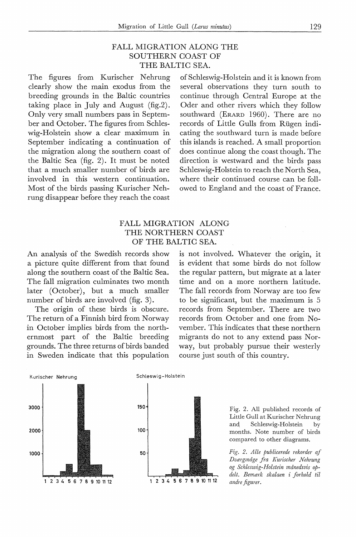# FALL MIGRATION ALONG THE SOUTHERN COAST OF THE BALTIC SEA.

The figures from Kurischer Nehrung clearly show the main exodus from the breeding grounds in the Baltic countries taking place in July and August (fig.2). Only very small numbers pass in September and October. The figures from Schleswig-Holstein show a clear maximum in September indicating a continuation of the migration along the southern coast of the Baltic Sea (fig. 2). It must be noted that a much smaller number of birds are involved in this western continuation. Most of the birds passing Kurischer Nehrung disappear before they reach the coast

of Schleswig-Holstein and it is known from several observations they turn south to continue through Central Europe at the Oder and other rivers which they follow southward (ERARD 1960). There are no records of Little Gulls from Rugen indicating the southward turn is made before this islands is reached. A small proportion does continue along the coast though. The direction is westward and the birds pass Schleswig-Holstein to reach the North Sea, where their continued course can be followed to England and the coast of France.

# FALL MIGRATION ALONG THE NORTHERN COAST OF THE BALTIC SEA.

An analysis of the Swedish records show a picture quite different from that found along the southern coast of the Baltic Sea. The fall migration culminates two month later (October), but a much smaller number of birds are involved (fig. 3).

The origin of these birds is obscure. The return of a Finnish bird from Norway in October implies birds from the northernmost part of the Baltic breeding grounds. The three returns of birds banded in Sweden indicate that this population is not involved. Whatever the origin, it is evident that some birds do not follow the regular pattern, but migrate at a later time and on a more northern latitude. The fall records from Norway are too few to be significant, but the maximum is 5 records from September. There are two records from October and one from November. This indicates that these northern migrants do not to any extend pass Norway, but probably pursue their westerly course just south of this country.







Fig. 2. All published records of Little Gull at Kurischer Nehrung and Schleswig-Holstein by months. Note number of birds compared to other diagrams.

*Fzg. 2. Alle publicerede rekorder af Dværgmåge fra K urischer Nehrung og Schleswig-Holstein månedsvis opdelt. Bemærk skalaen* i *forhold til andre figurer.*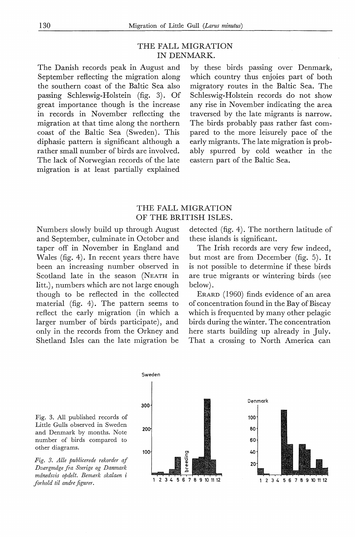# THE FALL MIGRATION IN DENMARK.

The Danish records peak in August and September reflecting the migration along the southern coast of the Baltic Sea also passing Schleswig-Holstein (fig. 3). Of great importance though is the increase in records in November reflecting the migration at that time along the northern coast of the Baltic Sea (Sweden). This diphasic pattern is significant although a rather small number of birds are involved. The lack of Norwegian records of the late migration is at least partially explained

by these birds passing over Denmark, which country thus enjoies part of both migratory routes in the Baltic Sea. The Schleswig-Holstein records do not show any rise in November indicating the area traversed by the late migrants is narrow. The birds probably pass rather fast compared to the more leisurely pace of the early migrants. The late migration is probably spurred by cold weather in the eastern part of the Baltic Sea.

# THE FALL MIGRATION OF THE BRITISH ISLES.

Numbers slowly build up through August and September, culminate in October and taper off in November in England and Wales (fig. 4). In recent years there have been an increasing number observed in Scotland late in the season (NEATH in litt.), numbers which are not large enough though to be reflected in the collected material (fig. 4). The pattern seems to reflect the early migration (in which a larger number of birds participate), and only in the records from the Orkney and Shetland Isles can the late migration be

detected (fig. 4). The northern latitude of these islands is significant.

The Irish records are very few indeed, but most are from December (fig. 5). It is not possible to determine if these birds are true migrants or wintering birds (see below).

ERARD ( 1960) finds evidence of an area of concentration found in the Bay of Biscay which is frequented by many other pelagic birds during the winter. The concentration here starts building up already in July. That a crossing to North America can

Fig. 3. All published records of Little Gulls observed in Sweden and Denmark by months. Note number of birds compared to other diagrams.

*Dværgmåge fra Sverige og Danmark månedsvis opdelt. Bemærk skalaen* i



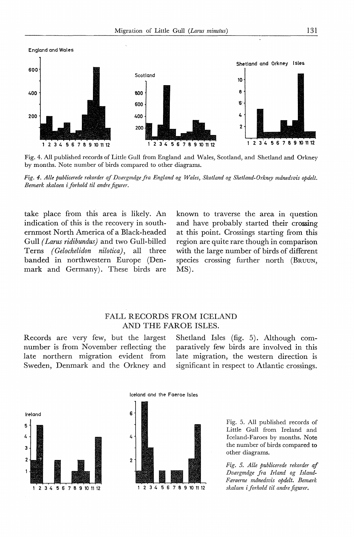

Fig. 4. All published records of Little Gull from England and Wales, Scotland, and Shetland and Orkney by months. Note number of hirds compared to other diagrams.



take place from this area is likely. An indication of this is the recovery in southernmost North America of a Black-headed Gull *( Larus ridibundus)* and two Gull-billed Tems *(Gelochelidon nilotica),* all three handed in northwestern Europe (Denmark and Germany). These birds are

known to traverse the area in question and have prohahly started their crossing at this point. Crossings starting from this region are quite rare though in comparison with the large number of birds of different species crossing further north (BRUUN, MS).

## FALL RECORDS FROM ICELAND AND THE FAROE ISLES.

Records are very few, but the largest number is from November reflecting the late northern migration evident from Sweden, Denmark and the Orkney and

Shetland Isles (fig. 5). Although comparatively few hirds are involved in this late migration, the western direction is significant in respect to Atlantic crossings.







Fig. 5. All published records of Little Gull from Ireland and Iceland-Faroes by months. Note the number of birds compared to other diagrams.

*Fig. 5. Alle publicerede rekorder af Dværgmåge fra Irland og Island-Færøerne månedsvis opdelt. Bemærk skalaen* i *forhold til andre figurer.*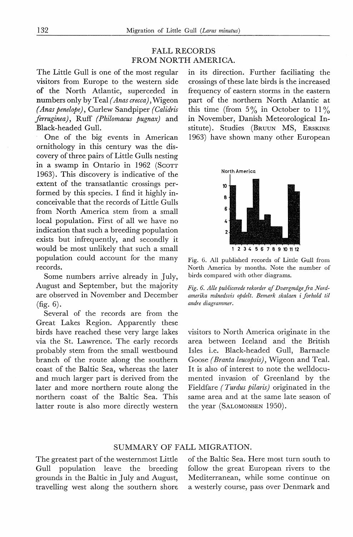# FALL RECORDS FROM NORTH AMERICA.

The Little Gull is one of the most regular visitors from Europe to the western side of the North Atlantic, superceded in numbers only by Teal *( Anascrecca),* Wigeon *(Anas penelope),* Curlew Sandpiper *(Calidris firruginea),* Ruff *(Philomacus pugnax)* and Black-headed Gull.

One of the hig events in American ornithology in this century was the discovery of three pairs of Little Gulls nesting in a swamp in Ontario in 1962 (Scorr 1963). This discovery is indicative of the extent of the transatlantic crossings performed by this species. I find it highly inconceivable that the records of Little Gulls from North America stem from a small local population. First of all we have no indication that such a breeding population exists but infrequently, and secondly it would be most unlikely that such a small population could account for the many records.

Some numbers arrive already in July, August and September, but the majority are observed in November and December (fig. 6).

Several of the records are from the Great Lakes Region. Apparently these hirds have reached these very large lakes via the St. Lawrence. The early records probably stem from the small westbound branch of the route along the southern coast of the Baltic Sea, whereas the later and much larger part is derived from the later and more northern route along the northern coast of the Baltic Sea. This latter route is also more directly western

in its direction. Further faciliating the crossings of these la te hirds is the increased frequency of eastern storms in the eastern part of the northern North Atlantic at this time (from  $5\%$  in October to  $11\%$ in November, Danish Meteorological Institute). Studies (BRUUN MS, ERSKINE 1963) have shown many other European



Fig. 6. All published records of Little Gull from North America by months. Note the number of birds compared with other diagrams.

*Fig. 6. Alle publicerede rekorder af Dværgmåge fra Nordamerika månedsvis opdelt. Bemærk skalaen i forhold til andre diagrammer.* 

visitors to North America originate in the area between Iceland and the British Isles i.e. Black-headed Gull, Barnacle Goose *(Branta leucopsis)*, Wigeon and Teal. It is also of interest to note the welldocumented invasion of Greenland by the Fieldfare *(Turdus pilaris)* originated in the same area and at the same late season of the year (SALOMONSEN 1950).

## SUMMARY OF FALL MIGRATION.

The greatest part of the westernmost Little Gull population leave the breeding grounds in the Baltic in July and August, travelling west along the southern shore of the Baltic Sea. Here most turn south to follow the great European rivers to the Mediterranean, while some continue on a westerly course, pass over Denmark and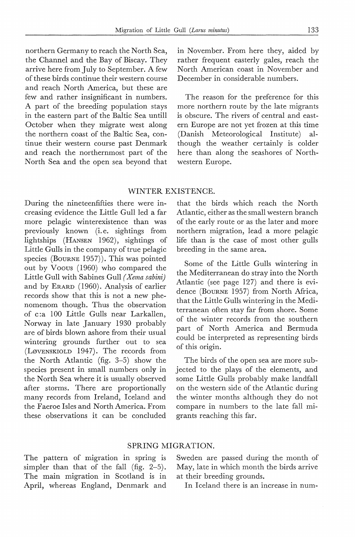northern Germany to reach the North Sea, the Channel and the Bay of Biscay. They arrive here from July to September. A few of these birds continue their western course and reach North America, but these are few and rather insignificant in numbers. A part of the breeding population stays in the eastern part of the Baltic Sea untill October when they migrate west along the northern coast of the Baltic Sea, continue their western course past Denmark and reach the northernmost part of the North Sea and the open sea beyond that

in November. From here they, aided by rather frequent easterly gales, reach the North American coast in November and December in considerable numbers.

The reason for the preference for this more northern route by the late migrants is obscure. The rivers of central and eastern Europe are not yet frozen at this time (Danish Meteorological Institute) although the weather certainly is colder here than along the seashores of Northwestern Europe.

#### WINTER EXISTENCE.

During the nineteenfifties there were increasing evidence the Little Gull led a far more pelagic winterexistence than was previously known (i.e. sightings from lightships (HANSEN 1962), sightings of Little Gulls in the company of true pelagic species (BOURNE  $1957$ )). This was pointed out by Voous (1960) who compared the Little Gull with Sabines Gull *( Xema sabini)*  and by ERARD (1960). Analysis of earlier records show that this is not a new phenomenom though. Thus the observation of c:a 100 Little Gulls near Larkallen, Norway in late January 1930 probably are of birds blown ashore from their usual wintering grounds further out to sea (Løvenskiold 1947). The records from the North Atlantic (fig. 3-5) show the species present in small numbers only in the North Sea where it is usually observed after storms. There are proportionally many records from Ireland, Iceland and the Faeroe Isles and North America. From these observations it can be concluded

that the birds which reach the North Atlantic, either as the small western branch of the early route or as the later and more northern migration, lead a more pelagic life than is the case of most other gulls breeding in the same area.

Some of the Little Gulls wintering in the Mediterranean do stray into the North Atlantic (see page 127) and there is evidence (BOURNE 1957) from North Africa, that the Little Gulls wintering in the Mediterranean often stay far from shore. Some of the winter records from the southern part of North America and Bermuda could be interpreted as representing hirds of this origin.

The birds of the open sea are more subjected to the plays of the elements, and some Little Gulls probably make landfall on the western side of the Atlantic during the winter months although they do not compare in numbers to the late fall migrants reaching this far.

#### SPRING MIGRATION.

The pattern of migration in spring is simpler than that of the fall (fig. 2-5). The main migration in Scotland is in April, whereas England, Denmark and Sweden are passed during the month of May, late in which month the birds arrive at their breeding grounds.

In Iceland there is an increase in num-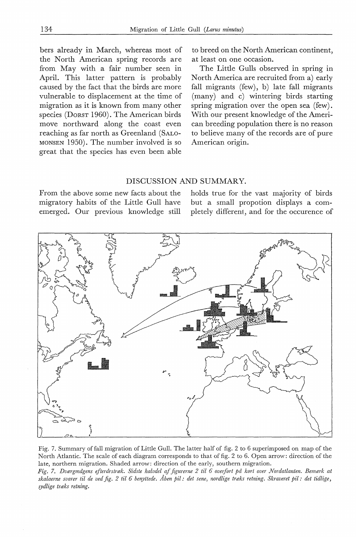hers already in March, whereas most of the North American spring records are from May with a fair number seen in April. This latter pattern is probably caused by the faet that the hirds are more vulnerable to displacement at the time of migration as it is known from many other species (DoRsT 1960). The American hirds move northward along the coast even reaching as far north as Greenland (SALO-MONSEN 1950). The number involved is so great that the species has even been able

to breed on the North American continent, at least on one occasion.

The Little Gulls observed in spring in North America are recruited from a) early fall migrants (few), b) late fall migrants (many) and c) wintering birds starting spring migration over the open sea (few). With our present knowledge of the American breeding population there is no reason to believe many of the records are of pure American origin.

## DISCUSSION AND SUMMARY.

From the above some new facts about the migratory habits of the Little Gull have emerged. Our previous knowledge still holds true for the vast majority of birds but a small propotion displays a completely differeni, and for the occurence of



Fig. 7. Summary of fall migration of Little Gull. The latter half of fig. 2 to 6 superimposed on map of the North Atlantic. The scale of each diagram corresponds to that of fig. 2 to 6. Open arrow: direction of the late, northern migration. Shaded arrow: direction of the early, southern migration.

*Fig. 7. Dværgmågens efterårstræk. Sidste halvdel af figurerne 2 til 6 oveifort på kort over Nordatlanten. Bemærk at skalaerne svarer til de ved fig. 2 til 6 benyttede. Aben pil: det sene, nordlige træks retning. Skraveret pil: det tidlige, sydlige træks retning.*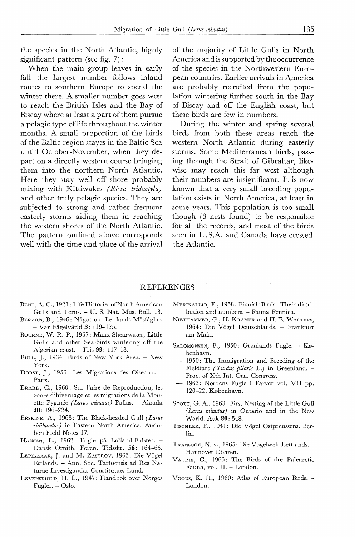the species in the North Atlantic, highly significant pattern (see fig. 7):

When the main group leaves in early fall the largest number follows inland routes to southern Europe to spend the winter there. A smaller number goes west to reach the British Isles and the Bay of Biscay where at least a part of them pursue a pelagic type of life throughout the winter months. A small proportion of the birds of the Baltic region stayes in the Baltic Sea untill October-November, when they depart on a directly western course bringing them into the northern North Atlantic. Here they stay well off shore probably mixing with Kittiwakes *( Rissa tridactyla)*  and other truly pelagic species. They are subjected to strong and rather frequent easterly storms aiding them in reaching the western shores of the North Atlantic. The pattern outlined above corresponds well with the time and place of the arrival

of the majority of Little Gulls in North America and is supported by the occurrence of the species in the Northwestern European countries. Earlier arrivals in America are probably recruited from the population wintering further south in the Bay of Biscay and off the English coast, but these birds are few in numbers.

During the winter and spring several birds from both these areas reach the western North Atlantic during easterly storms. Some Mediterranean birds, passing through the Strait of Gibraltar, likewise may reach this far west although their numbers are insignificant. It is now known that a very small breeding population exists in North America, at least in some years. This population is too small though (3 nests found) to be responsible for all the records, and most of the birds seen in U. S.A. and Canada have crossed the Atlantic.

#### REFERENCES

- BENT, A. C., 1921: Life Histories of North American Gulls and Terns. - U. S. Nat. Mus. Bull. 13.
- BERZIUS, B., 1946: Något om Lettlands Måsfåglar. - Vår Fågelvärld 3: 119-125.
- BouRNE, W. R. P., 1957: Manx Shearwater, Little Gulls and other Sea-birds wintering off the Algerian coast.  $-$  Ibis 99: 117-18.
- BuLL, J., 1964: Birds of New York Area. New York.
- DORST, J., 1956: Les Migrations des Oiseaux. -Paris.
- ERARD, C., 1960: Sur l'aire de Reproduction, les zones d'hivernage et les migrations de la Mouette Pygmée *(Larus minutus)* Pallas. - Alauda 28: 196-224.
- ERSKINE, A., 1963: The Black-headed Gull *( Larus ridibundus)* in Eastern North America. Audubon Field Notes 17.
- HANSEN, L., 1962: Fugle på Lolland-Falster. -Dansk Ornith. Foren. Tidsskr. 56: 164-65.
- LEPIKZAAR, J. and M. ZASTROV, 1963: Die Vögel Estlands. - Ann. Soc. Tartuensis ad Res Naturae Investigandas Constitutae. Lund.
- Løvenskiold, H. L., 1947: Handbok over Norges Fugler. - Oslo.
- MERIKALLIO, E., 1958: Finnish Birds: Their distribution and numbers. - Fauna Fennica.
- NIETHAMMER, G., H. KRAMER and H. E. WALTERS, 1964: Die Vögel Deutschlands. - Frankfurt am Main.
- SALOMONSEN, F., 1950: Grønlands Fugle. København.
- $-$  1950: The Immigration and Breeding of the Fieldfare *(Turdus pilaris* L.) in Greenland. - Proc. of Xth Int. Orn. Congress.
- 1963: Nordens Fugle i Farver vol. VII pp. 120-22. København.
- SCOTT, G. A., 1963: First Nesting af the Little Gull *( Larus minutus)* in Ontario and in the New World. Auk 80: 548.
- TISCHLER, F., 1941: Die Vögel Ostpreussens. Berlin.
- TRANSCHE, N. v., 1965: Die Vogelwelt Lettlands. Hannover Döhren.
- VAURIE, C., 1965: The Birds of the Palearctic Fauna, vol. II. - London.
- Voous, K. H., 1960: Atlas of European Birds. London.